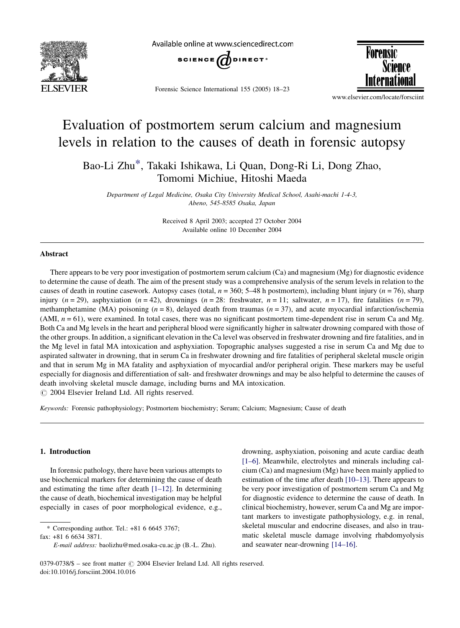

Available online at www.sciencedirect.com



Forensic Science International 155 (2005) 18–23



# Evaluation of postmortem serum calcium and magnesium levels in relation to the causes of death in forensic autopsy

Bao-Li Zhu\*, Takaki Ishikawa, Li Quan, Dong-Ri Li, Dong Zhao, Tomomi Michiue, Hitoshi Maeda

Department of Legal Medicine, Osaka City University Medical School, Asahi-machi 1-4-3, Abeno, 545-8585 Osaka, Japan

> Received 8 April 2003; accepted 27 October 2004 Available online 10 December 2004

## Abstract

There appears to be very poor investigation of postmortem serum calcium (Ca) and magnesium (Mg) for diagnostic evidence to determine the cause of death. The aim of the present study was a comprehensive analysis of the serum levels in relation to the causes of death in routine casework. Autopsy cases (total,  $n = 360$ ; 5–48 h postmortem), including blunt injury ( $n = 76$ ), sharp injury (n = 29), asphyxiation (n = 42), drownings (n = 28: freshwater, n = 11; saltwater, n = 17), fire fatalities (n = 79), methamphetamine (MA) poisoning ( $n = 8$ ), delayed death from traumas ( $n = 37$ ), and acute myocardial infarction/ischemia (AMI,  $n = 61$ ), were examined. In total cases, there was no significant postmortem time-dependent rise in serum Ca and Mg. Both Ca and Mg levels in the heart and peripheral blood were significantly higher in saltwater drowning compared with those of the other groups. In addition, a significant elevation in the Ca level was observed in freshwater drowning and fire fatalities, and in the Mg level in fatal MA intoxication and asphyxiation. Topographic analyses suggested a rise in serum Ca and Mg due to aspirated saltwater in drowning, that in serum Ca in freshwater drowning and fire fatalities of peripheral skeletal muscle origin and that in serum Mg in MA fatality and asphyxiation of myocardial and/or peripheral origin. These markers may be useful especially for diagnosis and differentiation of salt- and freshwater drownings and may be also helpful to determine the causes of death involving skeletal muscle damage, including burns and MA intoxication.

 $\odot$  2004 Elsevier Ireland Ltd. All rights reserved.

Keywords: Forensic pathophysiology; Postmortem biochemistry; Serum; Calcium; Magnesium; Cause of death

# 1. Introduction

In forensic pathology, there have been various attempts to use biochemical markers for determining the cause of death and estimating the time after death [\[1–12\]](#page-5-0). In determining the cause of death, biochemical investigation may be helpful especially in cases of poor morphological evidence, e.g.,

\* Corresponding author. Tel.: +81 6 6645 3767;

fax: +81 6 6634 3871.

drowning, asphyxiation, poisoning and acute cardiac death [\[1–6\].](#page-5-0) Meanwhile, electrolytes and minerals including calcium (Ca) and magnesium (Mg) have been mainly applied to estimation of the time after death [\[10–13\].](#page-5-0) There appears to be very poor investigation of postmortem serum Ca and Mg for diagnostic evidence to determine the cause of death. In clinical biochemistry, however, serum Ca and Mg are important markers to investigate pathophysiology, e.g. in renal, skeletal muscular and endocrine diseases, and also in traumatic skeletal muscle damage involving rhabdomyolysis and seawater near-drowning [\[14–16\].](#page-5-0)

E-mail address: baolizhu@med.osaka-cu.ac.jp (B.-L. Zhu).

<sup>0379-0738/\$ -</sup> see front matter © 2004 Elsevier Ireland Ltd. All rights reserved. doi:10.1016/j.forsciint.2004.10.016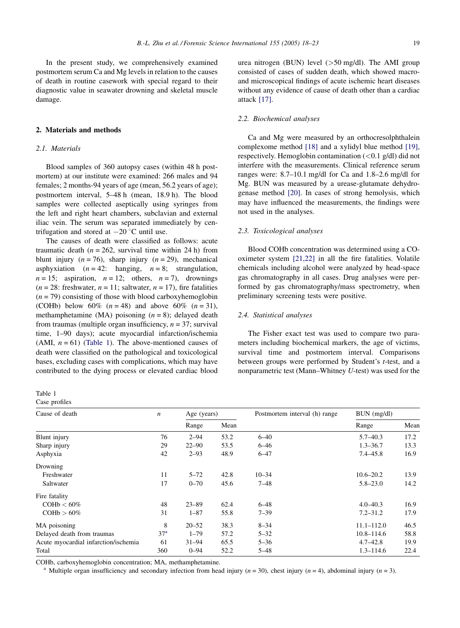In the present study, we comprehensively examined postmortem serum Ca and Mg levels in relation to the causes of death in routine casework with special regard to their diagnostic value in seawater drowning and skeletal muscle damage.

# 2. Materials and methods

# 2.1. Materials

Blood samples of 360 autopsy cases (within 48 h postmortem) at our institute were examined: 266 males and 94 females; 2 months-94 years of age (mean, 56.2 years of age); postmortem interval, 5–48 h (mean, 18.9 h). The blood samples were collected aseptically using syringes from the left and right heart chambers, subclavian and external iliac vein. The serum was separated immediately by centrifugation and stored at  $-20$  °C until use.

The causes of death were classified as follows: acute traumatic death ( $n = 262$ , survival time within 24 h) from blunt injury ( $n = 76$ ), sharp injury ( $n = 29$ ), mechanical asphyxiation  $(n = 42:$  hanging,  $n = 8$ ; strangulation,  $n = 15$ ; aspiration,  $n = 12$ ; others,  $n = 7$ ), drownings  $(n = 28:$  freshwater,  $n = 11$ ; saltwater,  $n = 17$ ), fire fatalities  $(n = 79)$  consisting of those with blood carboxyhemoglobin (COHb) below 60%  $(n = 48)$  and above 60%  $(n = 31)$ , methamphetamine (MA) poisoning  $(n = 8)$ ; delayed death from traumas (multiple organ insufficiency,  $n = 37$ ; survival time, 1–90 days); acute myocardial infarction/ischemia (AMI,  $n = 61$ ) (Table 1). The above-mentioned causes of death were classified on the pathological and toxicological bases, excluding cases with complications, which may have contributed to the dying process or elevated cardiac blood

| зη<br> |
|--------|
|--------|

# Case profiles

urea nitrogen (BUN) level (>50 mg/dl). The AMI group consisted of cases of sudden death, which showed macroand microscopical findings of acute ischemic heart diseases without any evidence of cause of death other than a cardiac attack [\[17\]](#page-5-0).

## 2.2. Biochemical analyses

Ca and Mg were measured by an orthocresolphthalein complexome method [\[18\]](#page-5-0) and a xylidyl blue method [\[19\],](#page-5-0) respectively. Hemoglobin contamination (<0.1 g/dl) did not interfere with the measurements. Clinical reference serum ranges were: 8.7–10.1 mg/dl for Ca and 1.8–2.6 mg/dl for Mg. BUN was measured by a urease-glutamate dehydrogenase method [\[20\]](#page-5-0). In cases of strong hemolysis, which may have influenced the measurements, the findings were not used in the analyses.

## 2.3. Toxicological analyses

Blood COHb concentration was determined using a COoximeter system [\[21,22\]](#page-5-0) in all the fire fatalities. Volatile chemicals including alcohol were analyzed by head-space gas chromatography in all cases. Drug analyses were performed by gas chromatography/mass spectrometry, when preliminary screening tests were positive.

#### 2.4. Statistical analyses

The Fisher exact test was used to compare two parameters including biochemical markers, the age of victims, survival time and postmortem interval. Comparisons between groups were performed by Student's t-test, and a nonparametric test (Mann–Whitney U-test) was used for the

| Cause of death                       | $\boldsymbol{n}$ | Age (years) |      | Postmortem interval (h) range | $BUN$ (mg/dl)  |      |
|--------------------------------------|------------------|-------------|------|-------------------------------|----------------|------|
|                                      |                  | Range       | Mean |                               | Range          | Mean |
| Blunt injury                         | 76               | $2 - 94$    | 53.2 | $6 - 40$                      | $5.7 - 40.3$   | 17.2 |
| Sharp injury                         | 29               | $22 - 90$   | 53.5 | $6 - 46$                      | $1.3 - 36.7$   | 13.3 |
| Asphyxia                             | 42               | $2 - 93$    | 48.9 | $6 - 47$                      | $7.4 - 45.8$   | 16.9 |
| Drowning                             |                  |             |      |                               |                |      |
| Freshwater                           | 11               | $5 - 72$    | 42.8 | $10 - 34$                     | $10.6 - 20.2$  | 13.9 |
| Saltwater                            | 17               | $0 - 70$    | 45.6 | $7 - 48$                      | $5.8 - 23.0$   | 14.2 |
| Fire fatality                        |                  |             |      |                               |                |      |
| $COHb < 60\%$                        | 48               | $23 - 89$   | 62.4 | $6 - 48$                      | $4.0 - 40.3$   | 16.9 |
| $COHb > 60\%$                        | 31               | $1 - 87$    | 55.8 | $7 - 39$                      | $7.2 - 31.2$   | 17.9 |
| MA poisoning                         | 8                | $20 - 52$   | 38.3 | $8 - 34$                      | $11.1 - 112.0$ | 46.5 |
| Delayed death from traumas           | 37 <sup>a</sup>  | $1 - 79$    | 57.2 | $5 - 32$                      | $10.8 - 114.6$ | 58.8 |
| Acute myocardial infarction/ischemia | 61               | $31 - 94$   | 65.5 | $5 - 36$                      | $4.7 - 42.8$   | 19.9 |
| Total                                | 360              | $0 - 94$    | 52.2 | $5 - 48$                      | $1.3 - 114.6$  | 22.4 |

COHb, carboxyhemoglobin concentration; MA, methamphetamine.<br><sup>a</sup> Multiple organ insufficiency and secondary infection from head injury (*n* = 30), chest injury (*n* = 4), abdominal injury (*n* = 3).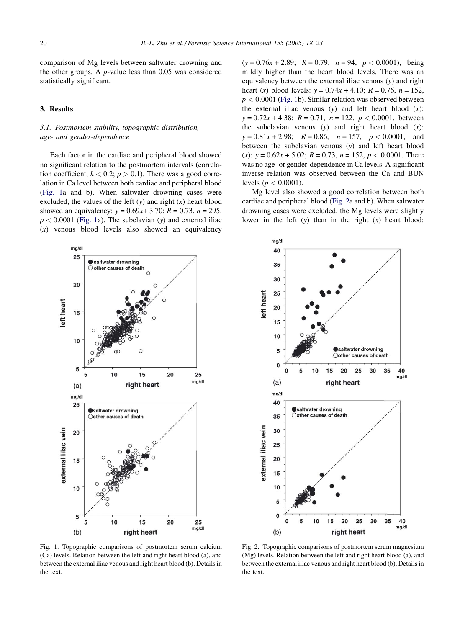<span id="page-2-0"></span>comparison of Mg levels between saltwater drowning and the other groups. A p-value less than 0.05 was considered statistically significant.

# 3. Results

# 3.1. Postmortem stability, topographic distribution, age- and gender-dependence

Each factor in the cardiac and peripheral blood showed no significant relation to the postmortem intervals (correlation coefficient,  $k < 0.2$ ;  $p > 0.1$ ). There was a good correlation in Ca level between both cardiac and peripheral blood (Fig. 1a and b). When saltwater drowning cases were excluded, the values of the left  $(y)$  and right  $(x)$  heart blood showed an equivalency:  $y = 0.69x + 3.70$ ;  $R = 0.73$ ,  $n = 295$ ,  $p < 0.0001$  (Fig. 1a). The subclavian (y) and external iliac (x) venous blood levels also showed an equivalency  $(y = 0.76x + 2.89;$   $R = 0.79,$   $n = 94,$   $p < 0.0001$ ), being mildly higher than the heart blood levels. There was an equivalency between the external iliac venous (y) and right heart (x) blood levels:  $y = 0.74x + 4.10$ ;  $R = 0.76$ ,  $n = 152$ ,  $p < 0.0001$  (Fig. 1b). Similar relation was observed between the external iliac venous  $(y)$  and left heart blood  $(x)$ :  $y = 0.72x + 4.38$ ;  $R = 0.71$ ,  $n = 122$ ,  $p < 0.0001$ , between the subclavian venous  $(y)$  and right heart blood  $(x)$ :  $y = 0.81x + 2.98$ ;  $R = 0.86$ ,  $n = 157$ ,  $p < 0.0001$ , and between the subclavian venous (y) and left heart blood (x):  $y = 0.62x + 5.02$ ;  $R = 0.73$ ,  $n = 152$ ,  $p < 0.0001$ . There was no age- or gender-dependence in Ca levels. A significant inverse relation was observed between the Ca and BUN levels ( $p < 0.0001$ ).

Mg level also showed a good correlation between both cardiac and peripheral blood (Fig. 2a and b). When saltwater drowning cases were excluded, the Mg levels were slightly lower in the left  $(y)$  than in the right  $(x)$  heart blood:





Fig. 1. Topographic comparisons of postmortem serum calcium (Ca) levels. Relation between the left and right heart blood (a), and between the external iliac venous and right heart blood (b). Details in the text.

Fig. 2. Topographic comparisons of postmortem serum magnesium (Mg) levels. Relation between the left and right heart blood (a), and between the external iliac venous and right heart blood (b). Details in the text.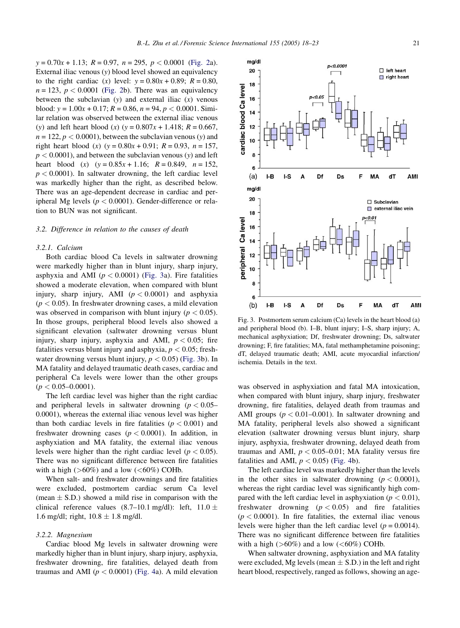<span id="page-3-0"></span> $y = 0.70x + 1.13$ ;  $R = 0.97$ ,  $n = 295$ ,  $p < 0.0001$  ([Fig. 2](#page-2-0)a). External iliac venous (y) blood level showed an equivalency to the right cardiac (x) level:  $y = 0.80x + 0.89$ ;  $R = 0.80$ ,  $n = 123$ ,  $p < 0.0001$  ([Fig. 2](#page-2-0)b). There was an equivalency between the subclavian  $(y)$  and external iliac  $(x)$  venous blood:  $v = 1.00x + 0.17$ ;  $R = 0.86$ ,  $n = 94$ ,  $p < 0.0001$ . Similar relation was observed between the external iliac venous (y) and left heart blood (x) (y =  $0.807x + 1.418$ ; R = 0.667,  $n = 122$ ,  $p < 0.0001$ ), between the subclavian venous (y) and right heart blood (x) (y =  $0.80x + 0.91$ ; R = 0.93, n = 157,  $p < 0.0001$ ), and between the subclavian venous (y) and left heart blood (x)  $(y = 0.85x + 1.16; R = 0.849, n = 152,$  $p < 0.0001$ ). In saltwater drowning, the left cardiac level was markedly higher than the right, as described below. There was an age-dependent decrease in cardiac and peripheral Mg levels ( $p < 0.0001$ ). Gender-difference or relation to BUN was not significant.

#### 3.2. Difference in relation to the causes of death

## 3.2.1. Calcium

Both cardiac blood Ca levels in saltwater drowning were markedly higher than in blunt injury, sharp injury, asphyxia and AMI ( $p < 0.0001$ ) (Fig. 3a). Fire fatalities showed a moderate elevation, when compared with blunt injury, sharp injury, AMI  $(p < 0.0001)$  and asphyxia  $(p < 0.05)$ . In freshwater drowning cases, a mild elevation was observed in comparison with blunt injury ( $p < 0.05$ ). In those groups, peripheral blood levels also showed a significant elevation (saltwater drowning versus blunt injury, sharp injury, asphyxia and AMI,  $p < 0.05$ ; fire fatalities versus blunt injury and asphyxia,  $p < 0.05$ ; freshwater drowning versus blunt injury,  $p < 0.05$ ) (Fig. 3b). In MA fatality and delayed traumatic death cases, cardiac and peripheral Ca levels were lower than the other groups  $(p < 0.05 - 0.0001)$ .

The left cardiac level was higher than the right cardiac and peripheral levels in saltwater drowning ( $p < 0.05$ – 0.0001), whereas the external iliac venous level was higher than both cardiac levels in fire fatalities ( $p < 0.001$ ) and freshwater drowning cases ( $p < 0.0001$ ). In addition, in asphyxiation and MA fatality, the external iliac venous levels were higher than the right cardiac level ( $p < 0.05$ ). There was no significant difference between fire fatalities with a high  $(>60\%)$  and a low  $(<60\%)$  COHb.

When salt- and freshwater drownings and fire fatalities were excluded, postmortem cardiac serum Ca level (mean  $\pm$  S.D.) showed a mild rise in comparison with the clinical reference values (8.7–10.1 mg/dl): left,  $11.0 \pm$ 1.6 mg/dl; right,  $10.8 \pm 1.8$  mg/dl.

#### 3.2.2. Magnesium

Cardiac blood Mg levels in saltwater drowning were markedly higher than in blunt injury, sharp injury, asphyxia, freshwater drowning, fire fatalities, delayed death from traumas and AMI ( $p < 0.0001$ ) [\(Fig. 4](#page-4-0)a). A mild elevation

Fig. 3. Postmortem serum calcium (Ca) levels in the heart blood (a) and peripheral blood (b). I–B, blunt injury; I–S, sharp injury; A, mechanical asphyxiation; Df, freshwater drowning; Ds, saltwater drowning; F, fire fatalities; MA, fatal methamphetamine poisoning; dT, delayed traumatic death; AMI, acute myocardial infarction/ ischemia. Details in the text.

was observed in asphyxiation and fatal MA intoxication, when compared with blunt injury, sharp injury, freshwater drowning, fire fatalities, delayed death from traumas and AMI groups ( $p < 0.01-0.001$ ). In saltwater drowning and MA fatality, peripheral levels also showed a significant elevation (saltwater drowning versus blunt injury, sharp injury, asphyxia, freshwater drowning, delayed death from traumas and AMI,  $p < 0.05-0.01$ ; MA fatality versus fire fatalities and AMI,  $p < 0.05$ ) ([Fig. 4](#page-4-0)b).

The left cardiac level was markedly higher than the levels in the other sites in saltwater drowning  $(p < 0.0001)$ , whereas the right cardiac level was significantly high compared with the left cardiac level in asphyxiation ( $p < 0.01$ ), freshwater drowning  $(p < 0.05)$  and fire fatalities  $(p < 0.0001)$ . In fire fatalities, the external iliac venous levels were higher than the left cardiac level ( $p = 0.0014$ ). There was no significant difference between fire fatalities with a high  $(>60\%)$  and a low  $(<60\%)$  COHb.

When saltwater drowning, asphyxiation and MA fatality were excluded, Mg levels (mean  $\pm$  S.D.) in the left and right heart blood, respectively, ranged as follows, showing an age-

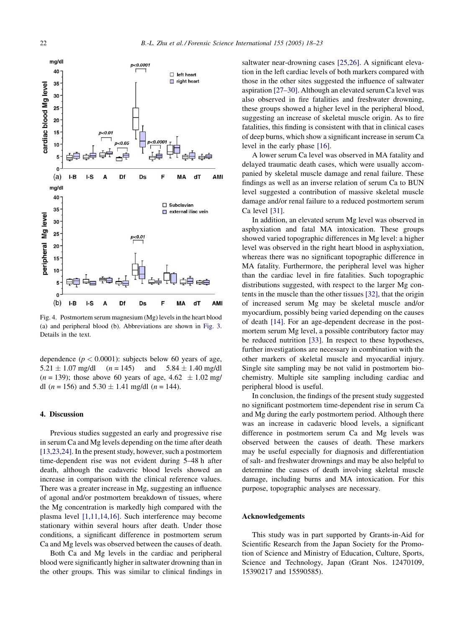<span id="page-4-0"></span>

Fig. 4. Postmortem serum magnesium (Mg) levels in the heart blood (a) and peripheral blood (b). Abbreviations are shown in [Fig. 3.](#page-3-0) Details in the text.

dependence  $(p < 0.0001)$ : subjects below 60 years of age,  $5.21 \pm 1.07$  mg/dl  $(n = 145)$  and  $5.84 \pm 1.07$  $5.84 \pm 1.40$  mg/dl  $(n = 139)$ ; those above 60 years of age,  $4.62 \pm 1.02$  mg/ dl (*n* = 156) and  $5.30 \pm 1.41$  mg/dl (*n* = 144).

## 4. Discussion

Previous studies suggested an early and progressive rise in serum Ca and Mg levels depending on the time after death [\[13,23,24\].](#page-5-0) In the present study, however, such a postmortem time-dependent rise was not evident during 5–48 h after death, although the cadaveric blood levels showed an increase in comparison with the clinical reference values. There was a greater increase in Mg, suggesting an influence of agonal and/or postmortem breakdown of tissues, where the Mg concentration is markedly high compared with the plasma level [\[1,11,14,16\]](#page-5-0). Such interference may become stationary within several hours after death. Under those conditions, a significant difference in postmortem serum Ca and Mg levels was observed between the causes of death.

Both Ca and Mg levels in the cardiac and peripheral blood were significantly higher in saltwater drowning than in the other groups. This was similar to clinical findings in saltwater near-drowning cases [\[25,26\]](#page-5-0). A significant elevation in the left cardiac levels of both markers compared with those in the other sites suggested the influence of saltwater aspiration [\[27–30\]](#page-5-0). Although an elevated serum Ca level was also observed in fire fatalities and freshwater drowning, these groups showed a higher level in the peripheral blood, suggesting an increase of skeletal muscle origin. As to fire fatalities, this finding is consistent with that in clinical cases of deep burns, which show a significant increase in serum Ca level in the early phase [\[16\]](#page-5-0).

A lower serum Ca level was observed in MA fatality and delayed traumatic death cases, which were usually accompanied by skeletal muscle damage and renal failure. These findings as well as an inverse relation of serum Ca to BUN level suggested a contribution of massive skeletal muscle damage and/or renal failure to a reduced postmortem serum Ca level [\[31\].](#page-5-0)

In addition, an elevated serum Mg level was observed in asphyxiation and fatal MA intoxication. These groups showed varied topographic differences in Mg level: a higher level was observed in the right heart blood in asphyxiation, whereas there was no significant topographic difference in MA fatality. Furthermore, the peripheral level was higher than the cardiac level in fire fatalities. Such topographic distributions suggested, with respect to the larger Mg contents in the muscle than the other tissues [\[32\]](#page-5-0), that the origin of increased serum Mg may be skeletal muscle and/or myocardium, possibly being varied depending on the causes of death [\[14\]](#page-5-0). For an age-dependent decrease in the postmortem serum Mg level, a possible contributory factor may be reduced nutrition [\[33\]](#page-5-0). In respect to these hypotheses, further investigations are necessary in combination with the other markers of skeletal muscle and myocardial injury. Single site sampling may be not valid in postmortem biochemistry. Multiple site sampling including cardiac and peripheral blood is useful.

In conclusion, the findings of the present study suggested no significant postmortem time-dependent rise in serum Ca and Mg during the early postmortem period. Although there was an increase in cadaveric blood levels, a significant difference in postmortem serum Ca and Mg levels was observed between the causes of death. These markers may be useful especially for diagnosis and differentiation of salt- and freshwater drownings and may be also helpful to determine the causes of death involving skeletal muscle damage, including burns and MA intoxication. For this purpose, topographic analyses are necessary.

# Acknowledgements

This study was in part supported by Grants-in-Aid for Scientific Research from the Japan Society for the Promotion of Science and Ministry of Education, Culture, Sports, Science and Technology, Japan (Grant Nos. 12470109, 15390217 and 15590585).